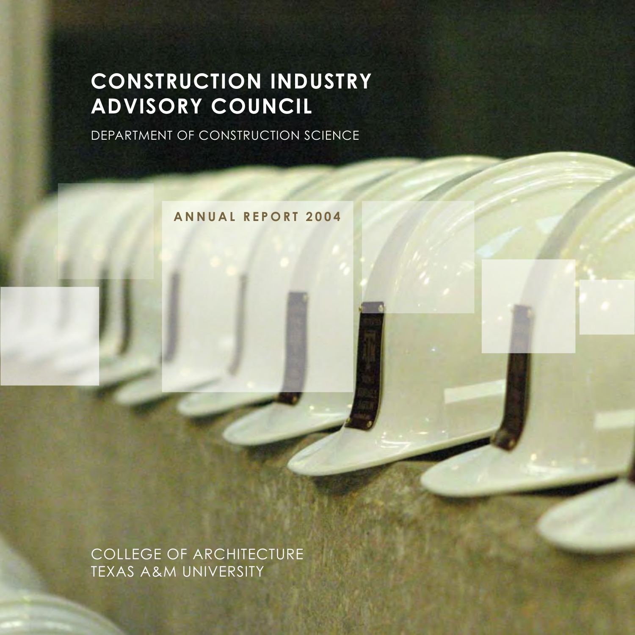# **CONSTRUCTION INDUSTRY ADVISORY COUNCIL**

DEPARTMENT OF CONSTRUCTION SCIENCE

**A N N U A L R E P O R T 2 0 0 4**

COLLEGE OF ARCHITECTURE TEXAS A&M UNIVERSITY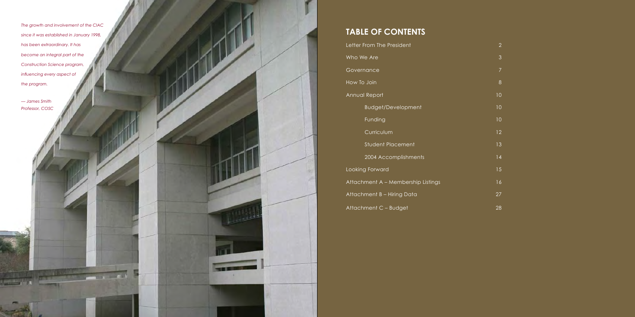# **TABLE OF CONTENTS**

Letter From The President Who We Are **Governance** How To Join Annual Report 10 and 10 annual 10 annual 10 annual 10 annual 10 annual 10 annual 10 annual 10 annual 10 annual Budget/Development 10 and 10 Funding 10 and 10 and 10 and 10 and 10 and 10 and 10 and 10 and 10 and 10 and 10 and 10 and 10 and 10 and 10 and 10 and 10 and 10 and 10 and 10 and 10 and 10 and 10 and 10 and 10 and 10 and 10 and 10 and 10 and 10 and 10 a Curriculum 12 Student Placement 13 2004 Accomplishments 14 Looking Forward 15 Attachment A – Membership Listings 16 Attachment B – Hiring Data 27 Attachment C – Budget 28

- 2 3 8
- 

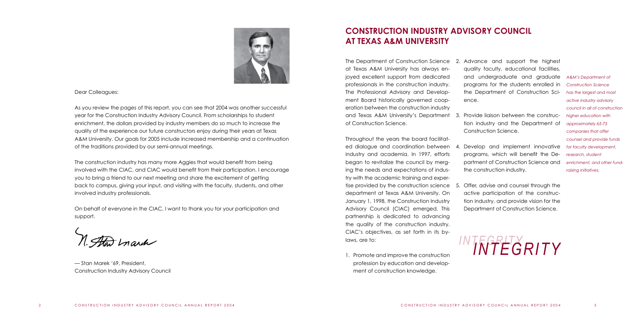The Department of Construction Science 2. Advance and support the highest at Texas A&M University has always enjoyed excellent support from dedicated professionals in the construction industry. The Professional Advisory and Development Board historically governed cooperation between the construction industry and Texas A&M University's Department 3. Provide liaison between the construcof Construction Science.

Throughout the years the board facilitated dialogue and coordination between industry and academia. In 1997, efforts began to revitalize the council by merging the needs and expectations of industry with the academic training and expertise provided by the construction science department at Texas A&M University. On January 1, 1998, the Construction Industry Advisory Council (CIAC) emerged. This partnership is dedicated to advancing the quality of the construction industry. CIAC's objectives, as set forth in its bylaws, are to:

1. Promote and improve the construction profession by education and development of construction knowledge.

quality faculty, educational facilities, and undergraduate and graduate programs for the students enrolled in the Department of Construction Science.

tion industry and the Department of Construction Science.

4. Develop and implement innovative programs, which will benefit the Department of Construction Science and the construction industry.

5. Offer, advise and counsel through the active participation of the construction industry, and provide vision for the Department of Construction Science.

# **CONSTRUCTION INDUSTRY ADVISORY COUNCIL AT TEXAS A&M UNIVERSITY**



Dear Colleagues:

As you review the pages of this report, you can see that 2004 was another successful year for the Construction Industry Advisory Council. From scholarships to student enrichment, the dollars provided by industry members do so much to increase the quality of the experience our future constructors enjoy during their years at Texas A&M University. Our goals for 2005 include increased membership and a continuation of the traditions provided by our semi-annual meetings.

The construction industry has many more Aggies that would benefit from being involved with the CIAC, and CIAC would benefit from their participation. I encourage you to bring a friend to our next meeting and share the excitement of getting back to campus, giving your input, and visiting with the faculty, students, and other involved industry professionals.

On behalf of everyone in the CIAC, I want to thank you for your participation and support.

— Stan Marek '69, President, Construction Industry Advisory Council

# *INTEGRITY INTEGRITY*

*A&M's Department of Construction Science has the largest and most active industry advisory council in all of construction higher education with approximately 65-75 companies that offer counsel and provide funds for faculty development, research, student enrichment, and other fundraising initiatives.*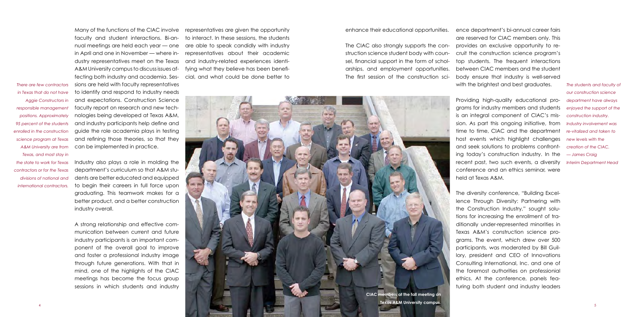Many of the functions of the CIAC involve faculty and student interactions. Bi-annual meetings are held each year — one in April and one in November — where industry representatives meet on the Texas A&M University campus to discuss issues affecting both industry and academia. Sessions are held with faculty representatives to identify and respond to industry needs and expectations. Construction Science faculty report on research and new technologies being developed at Texas A&M, and industry participants help define and guide the role academia plays in testing and refining those theories, so that they can be implemented in practice.

Industry also plays a role in molding the department's curriculum so that A&M students are better educated and equipped to begin their careers in full force upon graduating. This teamwork makes for a better product, and a better construction industry overall.

ence department's bi-annual career fairs are reserved for CIAC members only. This provides an exclusive opportunity to recruit the construction science program's top students. The frequent interactions between CIAC members and the student body ensure that industry is well-served with the brightest and best graduates.

A strong relationship and effective communication between current and future industry participants is an important component of the overall goal to improve and foster a professional industry image through future generations. With that in mind, one of the highlights of the CIAC meetings has become the focus group sessions in which students and industry representatives are given the opportunity to interact. In these sessions, the students are able to speak candidly with industry representatives about their academic and industry-related experiences identifying what they believe has been beneficial, and what could be done better to enhance their educational opportunities.

The CIAC also strongly supports the construction science student body with counsel, financial support in the form of scholarships, and employment opportunities. The first session of the construction sci-

> Providing high-quality educational programs for industry members and students is an integral component of CIAC's mission. As part this ongoing initiative, from time to time, CIAC and the department host events which highlight challenges and seek solutions to problems confronting today's construction industry. In the recent past, two such events, a diversity *Interim Department Head* conference and an ethics seminar, were held at Texas A&M.

The diversity conference, "Building Excellence Through Diversity: Partnering with the Construction Industry," sought solutions for increasing the enrollment of traditionally under-represented minorities in Texas A&M's construction science programs. The event, which drew over 500 participants, was moderated by Bill Guillory, president and CEO of Innovations Consulting International, Inc. and one of the foremost authorities on professionial ethics. At the conference, panels featuring both student and industry leaders

*The students and faculty of our construction science department have always enjoyed the support of the construction industry. Industry involvement was re-vitalized and taken to new levels with the creation of the CIAC. — James Craig*



*There are few contractors in Texas that do not have Aggie Constructors in responsible management positions. Approximately 95 percent of the students enrolled in the construction science program at Texas A&M University are from Texas, and most stay in the state to work for Texas contractors or for the Texas divisions of national and international contractors.*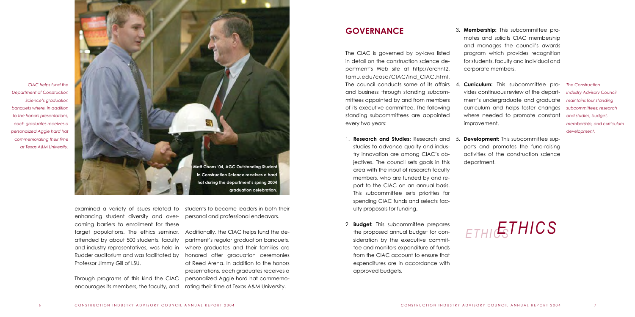enhancing student diversity and overcoming barriers to enrollment for these target populations. The ethics seminar, attended by about 500 students, faculty and industry representatives, was held in Rudder auditorium and was facilitated by Professor Jimmy Gill of LSU.

examined a variety of issues related to students to become leaders in both their personal and professional endeavors.

Through programs of this kind the CIAC encourages its members, the faculty, and

Additionally, the CIAC helps fund the department's regular graduation banquets, where graduates and their families are honored after graduation ceremonies at Reed Arena. In addition to the honors presentations, each graduates receives a personalized Aggie hard hat commemorating their time at Texas A&M University.

The CIAC is governed by by-laws listed in detail on the construction science department's Web site at http://archnt2. tamu.edu/cosc/CIAC/ind\_CIAC.html. The council conducts some of its affairs and business through standing subcommittees appointed by and from members of its executive committee. The following standing subcommittees are appointed every two years:

- 1. **Research and Studies:** Research and studies to advance quality and industry innovation are among CIAC's objectives. The council sets goals in this area with the input of research faculty members, who are funded by and report to the CIAC on an annual basis. This subcommittee sets priorities for spending CIAC funds and selects faculty proposals for funding.
- 2. **Budget:** This subcommittee prepares the proposed annual budget for consideration by the executive committee and monitors expenditure of funds from the CIAC account to ensure that expenditures are in accordance with approved budgets.

3. **Membership:** This subcommittee promotes and solicits CIAC membership and manages the council's awards program which provides recognition for students, faculty and individual and corporate members.

4. **Curriculum:** This subcommittee provides continuous review of the depart-*Industry Advisory Council*  ment's undergraduate and graduate curriculum and helps foster changes where needed to promote constant improvement.

5. **Development:** This subcommittee supports and promotes the fund-raising activities of the construction science department.

# **GOVERNANCE**



# *ETHICSETHICS*



*The Construction maintains four standing subcommittees: research and studies, budget, membership, and curriculum development.*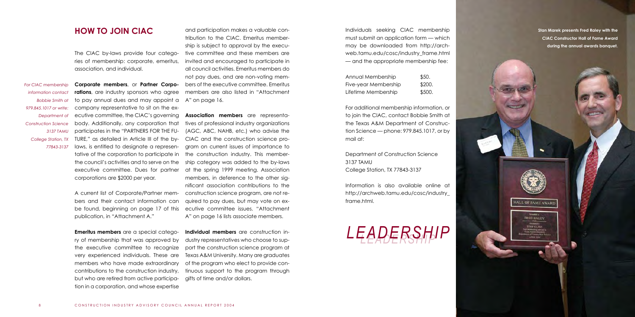The CIAC by-laws provide four categories of membership: corporate, emeritus, association, and individual.

**Corporate members**, or **Partner Corporations**, are industry sponsors who agree to pay annual dues and may appoint a company representative to sit on the executive committee, the CIAC's governing body. Additionally, any corporation that participates in the "PARTNERS FOR THE FU-TURE," as detailed in Article III of the bylaws, is entitled to designate a representative of the corporation to participate in the council's activities and to serve on the executive committee. Dues for partner corporations are \$2000 per year.

A current list of Corporate/Partner members and their contact information can be found, beginning on page 17 of this publication, in "Attachment A."

**Emeritus members** are a special category of membership that was approved by the executive committee to recognize very experienced individuals. These are members who have made extraordinary contributions to the construction industry, but who are retired from active participation in a corporation, and whose expertise

**HOW TO JOIN CIAC** and participation makes a valuable con- **Individuals** seeking CIAC membership must submit an application form — which may be downloaded from http://archweb.tamu.edu/cosc/industry\_frame.html — and the appropriate membership fee:

and participation makes a valuable contribution to the CIAC. Emeritus membership is subject to approval by the executive committee and these members are invited and encouraged to participate in all council activities. Emeritus members do not pay dues, and are non-voting members of the executive committee. Emeritus members are also listed in "Attachment A" on page 16.

**Association members** are representatives of professional industry organizations (AGC, ABC, NAHB, etc.) who advise the CIAC and the construction science program on current issues of importance to the construction industry. This membership category was added to the by-laws at the spring 1999 meeting. Association members, in deference to the other significant association contributions to the construction science program, are not required to pay dues, but may vote on executive committee issues. "Attachment A" on page 16 lists associate members.

**Individual members** are construction industry representatives who choose to support the construction science program at Texas A&M University. Many are graduates of the program who elect to provide continuous support to the program through gifts of time and/or dollars.

| Annual Membership    | \$50.  |
|----------------------|--------|
| Five-year Membership | \$200. |
| Lifetime Membership  | \$500. |

For additional membership information, or to join the CIAC, contact Bobbie Smith at the Texas A&M Department of Construction Science — phone: 979.845.1017, or by mail at:

Department of Construction Science 3137 TAMU College Station, TX 77843-3137

Information is also available online at http://archweb.tamu.edu/cosc/industry\_ frame.html.

**Stan Marek presents Fred Raley with the CIAC Constructor Hall of Fame Award during the annual awards banquet.**







**SPAW GLASS** 



*For CIAC membership information contact Bobbie Smith at 979.845.1017 or write: Department of Construction Science 3137 TAMU College Station, TX 77843-3137*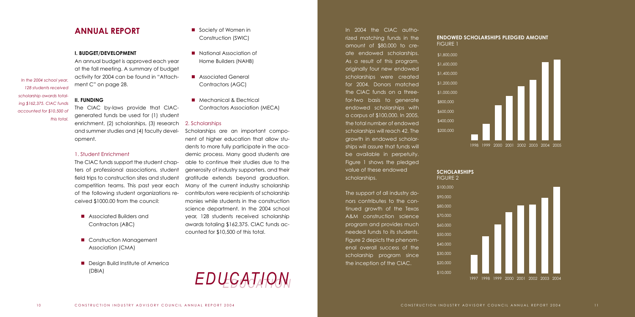### **I. BUDGET/DEVELOPMENT**

An annual budget is approved each year at the fall meeting. A summary of budget activity for 2004 can be found in "Attachment C" on page 28.

### **II. FUNDING**

The CIAC by-laws provide that CIACgenerated funds be used for (1) student enrichment, (2) scholarships, (3) research and summer studies and (4) faculty development.

### 1. Student Enrichment

- **n** Associated Builders and Contractors (ABC)
- Construction Management Association (CMA)
- $\blacksquare$  Design Build Institute of America (DBIA)
- Society of Women in Construction (SWIC)
- National Association of Home Builders (NAHB)
- Associated General Contractors (AGC)
- Mechanical & Electrical Contractors Association (MECA)

The CIAC funds support the student chapters of professional associations, student field trips to construction sites and student competition teams. This past year each of the following student organizations received \$1000.00 from the council:

## 2. Scholarships

**ANNUAL REPORT IDED IN 2004 THE Society of Women in In 2004 The CIAC autho**rized matching funds in the amount of \$80,000 to create endowed scholarships. As a result of this program, originally four new endowed scholarships were created for 2004. Donors matched the CIAC funds on a threefor-two basis to generate endowed scholarships with a corpus of \$100,000. In 2005, the total number of endowed scholarships will reach 42. The growth in endowed scholarships will assure that funds will be available in perpetuity. Figure 1 shows the pledged value of these endowed scholarships.

Scholarships are an important component of higher education that allow students to more fully participate in the academic process. Many good students are able to continue their studies due to the generosity of industry supporters, and their gratitude extends beyond graduation. Many of the current industry scholarship contributors were recipients of scholarship monies while students in the construction science department. In the 2004 school year, 128 students received scholarship awards totaling \$162,375. CIAC funds accounted for \$10,500 of this total.

The support of all industry donors contributes to the continued growth of the Texas A&M construction science program and provides much needed funds to its students. Figure 2 depicts the phenomenal overall success of the scholarship program since the inception of the CIAC.



\$1,800,000 \$1,600,000 \$1,400,000 \$1,200,000 \$1,000,000 \$800,000 \$600,000 \$400,000 \$200,000 FIGURE 1

\$100,000 \$90,000 \$80,000 \$70,000 \$60,000 \$50,000 \$40,000 \$30,000 \$20,000 \$10,000

10 CONSTRUCTION INDUSTRY ADVISORY COUNCIL ANNUAL REPORT 2004 CONSTRUCTION INDUSTRY ADVISORY COUNCIL ANNUAL REPORT 2004 11



## **ENDOWED SCHOLARSHIPS PLEDGED AMOUNT**

#### **SCHOLARSHIPS**

FIGURE 2

*EDUCATION EDUCATION*

*In the 2004 school year, 128 students received scholarship awards totaling \$162,375. CIAC funds accounted for \$10,500 of* 

*this total.*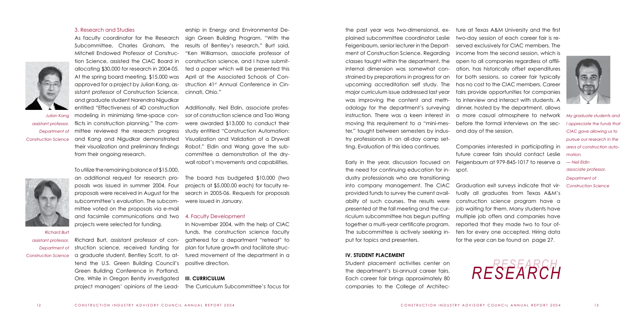## 3. Research and Studies

As faculty coordinator for the Research Subcommittee, Charles Graham, the Mitchell Endowed Professor of Construction Science, assisted the CIAC Board in allocating \$30,000 for research in 2004-05. At the spring board meeting, \$15,000 was approved for a project by Julian Kang, assistant professor of Construction Science, and graduate student Narendra Nigudkar entitled "Effectiveness of 4D construction modeling in minimizing time-space conflicts in construction planning." The committee reviewed the research progress and Kang and Nigudkar demonstrated

their visualization and preliminary findings

from their ongoing research.

To utilize the remaining balance of \$15,000, an additional request for research proposals was issued in summer 2004. Four proposals were received in August for the subcommittee's evaluation. The subcommittee voted on the proposals via e-mail and facsimile communications and two projects were selected for funding.

Richard Burt, assistant professor of construction science, received funding for a graduate student, Bentley Scott, to attend the U.S. Green Building Council's Green Building Conference in Portland, Ore. While in Oregon Bently investigated project managers' opinions of the Lead-

ership in Energy and Environmental Design Green Building Program. "With the results of Bentley's research," Burt said, "Ken Williamson, associate professor of construction science, and I have submitted a paper which will be presented this April at the Associated Schools of Construction 41<sup>st</sup> Annual Conference in Cincinnati, Ohio."

Additionally, Neil Eldin, associate professor of construction science and Tao Wang were awarded \$13,000 to conduct their study entitled "Construction Automation: Visualization and Validation of a Drywall Robot." Eldin and Wang gave the subcommittee a demonstration of the drywall robot's movements and capabilities.

The board has budgeted \$10,000 (two projects at \$5,000.00 each) for faculty research in 2005-06. Requests for proposals were issued in January.

#### 4. Faculty Development

In November 2004, with the help of CIAC funds, the construction science faculty gathered for a department "retreat" to plan for future growth and facilitate structured movement of the department in a positive direction.

## **III. CURRICULUM**

The Curriculum Subcommittee's focus for

the past year was two-dimensional, explained subcommittee coordinator Leslie Feigenbaum, senior lecturer in the Department of Construction Science. Regarding classes taught within the department, the internal dimension was somewhat constrained by preparations in progress for an upcoming accreditation self study. The major curriculum issue addressed last year was improving the content and methodology for the department's surveying instruction. There was a keen interest in moving this requirement to a "mini-mester," taught between semesters by industry professionals in an all-day camp setting. Evaluation of this idea continues.

Early in the year, discussion focused on the need for continuing education for industry professionals who are transitioning into company management. The CIAC provided funds to survey the current availabilty of such courses. The results were presented at the fall meeting and the curriculum subcommittee has begun putting together a multi-year certificate program. The subcommittee is actively seeking input for topics and presenters.

#### **IV. STUDENT PLACEMENT**

Student placement activities center on the department's bi-annual career fairs. Each career fair brings approximately 80 companies to the College of Architec-





ture at Texas A&M University and the first two-day session of each career fair is reserved exclusively for CIAC members. The income from the second session, which is open to all companies regardless of affiliation, has historically offset expenditures for both sessions, so career fair typically has no cost to the CIAC members. Career fairs provide opportunities for companies to interview and interact with students. A dinner, hosted by the department, allows a more casual atmosphere to network before the formal interviews on the second day of the session.

Companies interested in participating in future career fairs should contact Leslie Feigenbaum at 979-845-1017 to reserve a spot.

Graduation exit surveys indicate that virtually all graduates from Texas A&M's construction science program have a job waiting for them. Many students have multiple job offers and companies have reported that they made two to four offers for every one accepted. Hiring data for the year can be found on page 27.



## *Richard Burt*

*assistant professor, Department of Construction Science* *My graduate students and I appreciate the funds that CIAC gave allowing us to pursue our research in the area of construction automation. — Neil Eldin associate professor, Department of Construction Science*

*RESEARCH RESEARCH*

*Julian Kang*

*assistant professor, Department of Construction Science*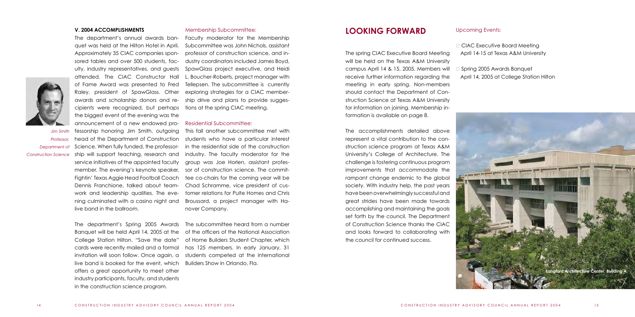#### **V. 2004 ACCOMPLISHMENTS**

The department's annual awards banquet was held at the Hilton Hotel in April. Approximately 35 CIAC companies sponsored tables and over 500 students, faculty, industry representatives, and guests attended. The CIAC Constructor Hall of Fame Award was presented to Fred Raley, president of SpawGlass. Other awards and scholarship donors and recipients were recognized, but perhaps the biggest event of the evening was the announcement of a new endowed pro-

fessorship honoring Jim Smith, outgoing head of the Department of Construction Science. When fully funded, the professorship will support teaching, research and service initiatives of the appointed faculty member. The evening's keynote speaker, Fightin' Texas Aggie Head Football Coach Dennis Franchione, talked about teamwork and leadership qualities. The evening culminated with a casino night and live band in the ballroom.

The department's Spring 2005 Awards Banquet will be held April 14, 2005 at the College Station Hilton. "Save the date" cards were recently mailed and a formal invitation will soon follow. Once again, a live band is booked for the event, which offers a great opportunity to meet other industry participants, faculty, and students in the construction science program.

#### Membership Subcommittee:

Faculty moderator for the Membership Subcommittee was John Nichols, assistant professor of construction science, and industry coordinators included James Boyd, SpawGlass project executive, and Heidi L. Boucher-Roberts, project manager with Tellepsen. The subcommittee is currently exploring strategies for a CIAC membership drive and plans to provide suggestions at the spring CIAC meeting.

## Residential Subcommittee:

□ CIAC Executive Board Meeting April 14-15 at Texas A&M University

**B** Spring 2005 Awards Banquet April 14, 2005 at College Station Hilton

This fall another subcommittee met with students who have a particular interest in the residential side of the construction industry. The faculty moderator for the group was Joe Horlen, assistant professor of construction science. The committee co-chairs for the coming year will be Chad Schramme, vice president of customer relations for Pulte Homes and Chris Broussard, a project manager with Hanover Company.

The subcommittee heard from a number of the officers of the National Association of Home Builders Student Chapter, which has 125 members. In early January, 31 students competed at the International Builders Show in Orlando, Fla.

## **LOOKING FORWARD** Upcoming Events:

The spring CIAC Executive Board Meeting will be held on the Texas A&M University campus April 14 & 15, 2005. Members will receive further information regarding the meeting in early spring. Non-members should contact the Department of Construction Science at Texas A&M University for information on joining. Membership information is available on page 8.

The accomplishments detailed above represent a vital contribution to the construction science program at Texas A&M University's College of Architecture. The challenge is fostering continuous program improvements that accommodate the rampant change endemic to the global society. With industry help, the past years have been overwhelmingly successful and great strides have been made towards accomplishing and maintaining the goals set forth by the council. The Department of Construction Science thanks the CIAC and looks forward to collaborating with the council for continued success.



*Jim Smith*

*Professor, Department of Construction Science*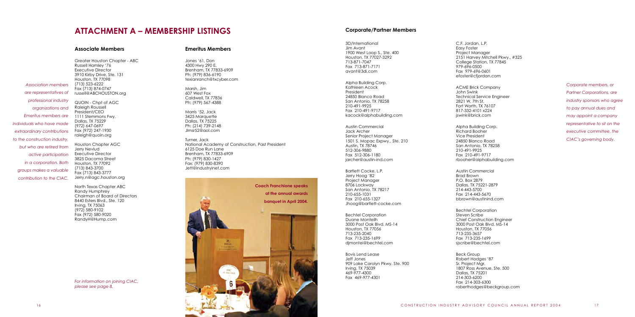Greater Houston Chapter - ABC Russell Hamley '76 Executive Director 3910 Kirby Drive, Ste. 131 Houston, TX 77098 (713) 523-6222 Fax (713) 874-0747 russell@ABCHOUSTON.org QUOIN - Chpt of AGC Raleigh Roussell President/CEO 1111 Stemmons Fwy. Dallas, TX 75229 (972) 647-0697 Fax (972) 247-1930 raleigh@quoin.org Houston Chapter AGC Jerry Nevlud Executive Director 3825 Dacoma Street Houston, TX 77092 (713) 843-3700 Fax (713) 843-3777

North Texas Chapter ABC Randy Humphrey Chairman of Board of Directors 8440 Esters Blvd., Ste. 120 Irving, TX 75063 (972) 580-9102 Fax (972) 580-9020 RandyH@Hump.com

## **ATTACHMENT A – MEMBERSHIP LISTINGS**

Jones '61, Don 4300 Hwy 290 E. Brenham, TX 77833-6909 Ph: (979) 836-6190 texianranch@txcyber.com

Marsh, Jim 607 West Fox Caldwell, TX 77836 Ph: (979) 567-4388

Morris '52, Jack 3425 Marquette Dallas, TX 75225 Ph: (214) 739-2148 Jlmsr52@aol.com

Turner, Jack National Academy of Construction, Past President 6125 Doe Run Lane Brenham, TX 77833-6909 Ph: (979) 830-1427 Fax: (979) 830-8390 Jett@industryinet.com

ustin Commercial Brad Brown D. Box 2879 Dallas, TX 75221-2879 4-443-5700 x 214-443-5670 bbrown@austinind.com

Bechtel Corporation even Scribe nief Construction Engineer 3000 Post Oak Blvd. MS-14  $m.$  TX 77056 3-235-3657 x 713-235-1699 cribe@bechtel.com

ck Group bert Hodges '87 Project Mgr. 07 Ross Avenue, Ste. 500 Dallas, TX 75201 214-303-6200 Fax 214-303-6300 roberthodges@beckgroup.com

| 3D/International<br>Jim Avant<br>1900 West Loop S., Ste. 400<br>Houston, TX 77027-3292<br>713-871-7047<br>Fax 713-871-7171<br>avant@3di.com                                                  | C.F<br>Eas<br>Pro<br>215<br>Co<br>979<br>Fa><br>efc  |
|----------------------------------------------------------------------------------------------------------------------------------------------------------------------------------------------|------------------------------------------------------|
| Alpha Building Corp.<br>Kathleen Acock<br>President<br>24850 Blanco Road<br>San Antonio, TX 78258<br>210-491-9925<br>Fax 210-491-9717<br>kacock@alphabuilding.com                            | АC<br>Joł<br>Tec<br>282<br>For<br>817<br>jsw         |
| <b>Austin Commercial</b><br><b>Jack Archer</b><br>Senior Project Manager<br>1501 S. Mopac Expwy., Ste. 210<br>Austin, TX 78746<br>512-306-9880<br>Fax 512-306-1180<br>jarcher@austin-ind.com | Alp<br>Ric<br>Vic<br>248<br>Sar<br>210<br>Fax<br>rbc |
| Bartlett Cocke, L.P.<br>Jerry Hoog '82<br>Project Manager<br>8706 Lockway<br>San Antonio, TX 78217<br>210-655-1031<br>Fax 210-655-1327<br>Jhoog@bartlett-cocke.com                           | Au:<br><b>Brc</b><br>P.C<br>Da<br>12∠<br>Fa><br>bb   |
| <b>Bechtel Corporation</b><br>Duane Monteilh<br>3000 Post Oak Blvd. MS-14<br>Houston, TX 77056<br>713-235-2040<br>Fax 713-235-1699<br>dimontei@bechtel.com                                   | Be<br>Ste<br>Ch<br>300<br>Ho<br>713<br>Fa><br>sisc   |
| <b>Bovis Lend Lease</b><br>Jeff Jones<br>909 Lake Carolyn Pkwy. Ste. 900<br>Irving, TX 75039<br>469-977-4300<br>Fax 469-977-4301                                                             | Be<br>Rol<br>Sr. I<br>180<br>Da<br>214               |

Jerry.n@agc.houston.org *Association members are representatives of professional industry organizations and Emeritus members are individuals who have made extraordinary contributions to the construction industry, but who are retired from active participation in a corporation. Both groups makes a valuable contribution to the CIAC.*



*For information on joining CIAC, please see page 8.*

#### **Associate Members Emeritus Members**

#### **Corporate/Partner Members**

F. Jordan, L.P. sy Foster .<br>piect Manager 2151 Harvey Mitchell Pkwy., #325 College Station, TX 77845 9-696-0500 x 979-696-0601 oster@cfjordan.com

**CME Brick Company** hn Swink chnical Service Engineer 21 W. 7th St. rt Worth, TX 76107 817-332-4101 x224  $v$ ink@brick.com

oha Building Corp. chard Booher ce President 850 Blanco Road In Antonio, TX 78258 0-491-9925 Fax 210-491-9717 ooher@alphabuilding.com *Corporate members, or Partner Corporations, are industry sponsors who agree to pay annual dues and may appoint a company representative to sit on the executive committee, the CIAC's governing body.*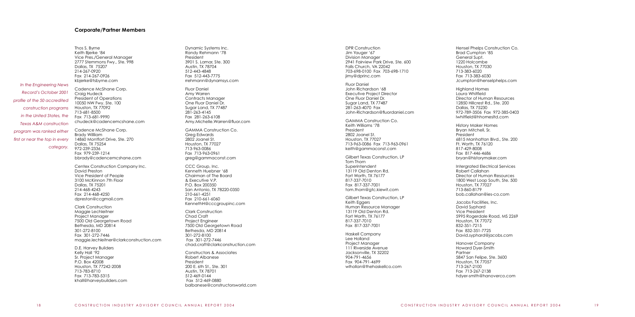Thos S. Byrne Keith Bjerke '84

Vice Pres./General Manager 2777 Stemmons Fwy., Ste. 998

Dallas, TX 75207 214-267-0920 Fax 214-267-0926 kbjerke@tsbyrne.com Cadence McShane Corp. Craig Hudeck President of Operations 10050 NW Fwy. Ste. 100 Houston, TX 77092 713-681-8500 Fax 713-681-9990 chudeck@cadencemcshane.com

Cadence McShane Corp. Brady Willliam 14860 Montfort Drive, Ste. 270 Dallas, TX 75254 972-239-2336 Fax 979-239-1214 bbrady@cadencemcshane.com

Centex Construction Company Inc. David Preston Vice President of People 3100 McKinnon 7th Floor Dallas, TX 75201 214-468-4243 Fax 214-468-4250 dpreston@ccgmail.com

Clark Construction Maggie Lechleitner Project Manager 7500 Old Georgetown Road Bethesda, MD 20814 301-272-8100 Fax 301-272-7446 maggie.lechleitner@clarkconstruction.com

D.E. Harvey Builders Kelly Hall '92 Sr. Project Manager P.O. Box 42008 Houston, TX 77242-2008 713-783-8710 Fax 713-783-5315 khall@harveybuilders.com

Dynamic Systems Inc. Randy Rehmann '78 President 3901 S. Lamar, Ste. 300 Austin, TX 78704 512-443-4848 Fax 512-443-7775 rrehmann@dynamsys.com Fluor Daniel Amy Warren Contracts Manager One Fluor Daniel Dr. Sugar Land, TX 77487 281-263-4145 Fax 281-263-6108 Amy.Michelle.Warren@fluor.com GAMMA Construction Co. Greg Edwards 2802 Joanel St. Houston, TX 77027 713-963-0086 Fax 713-963-0961 greg@gammaconst.com CCC Group, Inc. Kenneth Huebner '68 Chairman of The Board & Executive V.P. P.O. Box 200350 San Antonio, TX 78220-0350 210-661-4251 Fax 210-661-6060 KennethH@cccgroupinc.com Clark Construction Chad Craft Project Engineer 7500 Old Georgetown Road Bethesda, MD 20814 301-272-8100 Fax 301-272-7446 chad.craft@clarkconstruction.com Constructors & Associates Robert Albanese President 200 E. 6th St., Ste. 301

Austin, TX 78701 512-469-0144 Fax 512-469-0880

balbanese@constructorsworld.com

DPR Construction Jim Yauger '67 Division Manager 2941 Fairview Park Drive, Ste. 600 Falls Church, VA 22042 703-698-0100 Fax 703-698-1710 jimy@dprinc.com Fluor Daniel John Richardson '68 Executive Project Director One Fluor Daniel Dr. Sugar Land, TX 77487 281-263-4070 Fax John-Richardson@fluordaniel.com GAMMA Construction Co. Keith Williams '78 President 2802 Joanel St. Houston, TX 77027 713-963-0086 Fax 713-963-0961 keith@gammaconst.com Gilbert Texas Construction, LP Tom Thorn Superintendent 13119 Old Denton Rd. Fort Worth, TX 76177 817-337-7010 Fax 817-337-7001 tom.thorn@gtc.kiewit.com Gilbert Texas Construction, LP Keith Eggers Human Resource Manager 13119 Old Denton Rd. Fort Worth, TX 76177 817-337-7010 Fax 817-337-7001 Haskell Company Lee Holland Project Manager 111 Riverside Avenue Jacksonville, TX 32202 904-791-4656 Fax 904-791-4699 wlhollan@thehaskellco.com

Hensel Phelps Construction Co. Brad Cumpton '85 General Supt. 1220 Holcombe Houston, TX 77030 713-383-6020 Fax 713-383-6030 Jcumpton@henselphelps.com Highland Homes Laura Whitfield Director of Human Resources 12850 Hillcrest Rd., Ste. 200 Dallas, TX 75230 972-789-3506 Fax 972-385-0403 lwhitfield@hhomesltd.com History Maker Homes Bryan Mitchell, Sr. President 6815 Manhattan Blvd., Ste. 200 Ft. Worth, TX 76120 817-429-8008 Fax 817-446-4686 bryan@historymaker.com Intergrated Electrical Services Robert Callahan Director of Human Resources 1800 West Loop South, Ste. 500 Houston, TX 77027 713-860-8179 bob.callahan@ies-co.com Jacobs Facilities, Inc. David Syphard Vice President 5995 Rogerdale Road, MS 2269 Houston, TX 77072 832-351-7215 Fax 832-351-7725 David.syphard@jacobs.com Hanover Company Howard Dyer-Smith Partner 5847 San Felipe, Ste. 3600 Houston, TX 77057 713-267-2100 Fax 713-267-2138 hdyer-smith@hanoverco.com

#### **Corporate/Partner Members**

*In the Engineering News Record's October 2001 profile of the 50 accredited construction programs in the United States, the Texas A&M construction program was ranked either first or near the top in every category.*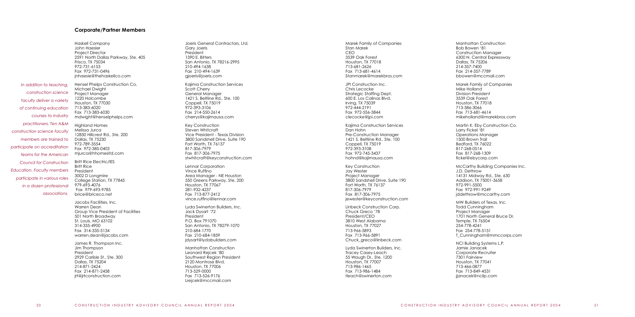Jim Thompson President 2929 Carlisle St., Ste. 300 Dallas, TX 75204 214-871-2424 Fax 214-871-2458 jrt@jrtconstruction.com

| Joeris General Contractors, Ltd.<br>Gary Joeris<br>President<br>1390 E. Bitters<br>San Antonio, TX 78216-2995<br>210-494-1638<br>Fax 210-494-1639<br>gjoeris@joeris.com                                   |
|-----------------------------------------------------------------------------------------------------------------------------------------------------------------------------------------------------------|
| Kajima Construction Services<br>Scott Cherry<br>General Manager<br>1421 S. Beltline Rd., Ste. 100<br>Coppell, TX 75019<br>972-393-3106<br>Fax 214-550-2614<br>cherrys@kajimausa.com                       |
| Key Construction<br>Steven Whitcraft<br>Vice President - Texas Division<br>3800 Sandshell Drive, Suite 190<br>Fort Worth, TX 76137<br>817-306-7979<br>Fax 817-306-7975<br>stwhitcraft@keyconstruction.com |
| Lennar Corporation<br>Vince Ruffino<br>Area Manager - NE Houston<br>550 Greens Parkway, Ste. 200<br>Houston, TX 77067<br>281-932-4237<br>Fax 713-877-2412<br>vince.ruffino@lennar.com                     |
| Lyda Swinerton Builders, Inc.<br>Jack Dysart '72<br>President<br>P.O. Box 791070<br>San Antonio, TX 78279-1070<br>210-684-1770<br>Fax 210-684-1859<br>jdysart@lydabuilders.com                            |
| <b>Manhattan Construction</b><br>Leonard Rejcek '80<br>Southwest Region President<br>2120 Montrose Blvd.<br>Houston, TX 77006<br>713-529-0000<br>Fax 713-526-9176<br>Lrejcek@mccmail.com                  |

| Marek Family of Companies                                                                                                                                                        | Mar                                                             |
|----------------------------------------------------------------------------------------------------------------------------------------------------------------------------------|-----------------------------------------------------------------|
| Stan Marek                                                                                                                                                                       | <b>Bob</b>                                                      |
| CEO                                                                                                                                                                              | Con                                                             |
| 3539 Oak Forest                                                                                                                                                                  | 6300                                                            |
| Houston, TX 77018                                                                                                                                                                | Dall                                                            |
| 713-681-2626                                                                                                                                                                     | $214-$                                                          |
| Fax 713-681-4614                                                                                                                                                                 | Fax                                                             |
| Stanmarek@marekbros.com                                                                                                                                                          | bbo                                                             |
| JPI Construction Inc.                                                                                                                                                            | Mar                                                             |
| Chris Lecocke                                                                                                                                                                    | Mike                                                            |
| Strategic Staffing Dept.                                                                                                                                                         | Divis                                                           |
| 600 E. Los Calinas Blvd.                                                                                                                                                         | 3539                                                            |
| Irving, TX 75039                                                                                                                                                                 | Hou                                                             |
| 972-444-2191                                                                                                                                                                     | $713-$                                                          |
| Fax 972-556-3844                                                                                                                                                                 | Fax                                                             |
| clecocke@jpi.com                                                                                                                                                                 | mike                                                            |
| Kajima Construction Services                                                                                                                                                     | Mar                                                             |
| Dan Hohn                                                                                                                                                                         | Larn                                                            |
| Pre-Construction Manager                                                                                                                                                         | Ope                                                             |
| 1421 S. Beltline Rd., Ste. 100                                                                                                                                                   | 1500                                                            |
| Coppell, TX 75019                                                                                                                                                                | Bed                                                             |
| 972-393-3108                                                                                                                                                                     | 817-                                                            |
| Fax 972-745-3437                                                                                                                                                                 | Fax                                                             |
| hohnd@kajimausa.com                                                                                                                                                              | ficke                                                           |
| Key Construction<br>Jay Wester<br>Project Manager<br>3800 Sandshell Drive, Suite 190<br>Fort Worth, TX 76137<br>817-306-7979<br>Fax 817-306-7975<br>jewester@keyconstruction.com | McC<br>J.D.<br>1413<br>Adc<br>972-<br>Fax<br>jdde               |
| Linbeck Construction Corp.                                                                                                                                                       | <b>MW</b>                                                       |
| Chuck Greco '78                                                                                                                                                                  | Todo                                                            |
| President/CEO                                                                                                                                                                    | Proje                                                           |
| 3810 West Alabama                                                                                                                                                                | 1701                                                            |
| Houston, TX 77027                                                                                                                                                                | Tem                                                             |
| 713-966-5893                                                                                                                                                                     | $254 -$                                                         |
| Fax 713-966-5891                                                                                                                                                                 | Fax                                                             |
| Chuck_greco@linbeck.com                                                                                                                                                          | T_CI                                                            |
| Lyda Swinerton Builders, Inc.<br>Tracey Casey-Leach<br>55 Waugh Dr., Ste. 1200<br>Houston, TX 77007<br>713-986-1465<br>Fax 713-986-1484<br>tleach@swinerton.com                  | <b>NCI</b><br>Jam<br>Cor<br>7301<br>Hou<br>713-<br>Fax<br>jjano |

Haskell Company John Haesler Project Director 2591 North Dallas Parkway, Ste. 405 Frisco, TX 75034 972-731-6153 Fax 972-731-0496 jnhaesle@thehaskellco.com Hensel Phelps Construction Co. Michael Dwight Project Manager 1220 Holcombe Houston, TX 77030 713-383-6020 Fax 713-383-6030 mdwight@henselphelps.com Highland Homes Melissa Jurca 12850 Hillcrest Rd., Ste. 200 Dallas, TX 75230 972-789-3554 Fax 972-385-0403 mjurca@hhomesltd.com Britt Rice Electric/IES Britt Rice President 3002 D Longmire College Station, TX 77845 979-693-4076 Fax 979-693-9785 brice@briceco.net Jacobs Facilities, Inc. Warren Dean Group Vice President of Facilities 501 North Broadway St. Louis, MO 63102 314-335-4900 Fax 314-335-5134 warren.dean@jacobs.com James R. Thompson Inc. *In addition to teaching, construction science faculty deliver a variety of continuing education courses to industry practitioners. Ten A&M construction science faculty members are trained to participate on accreditation teams for the American Council for Construction Education. Faculty members participate in various roles in a dozen professional associations.*

Manhattan Construction Bowen '81 nstruction Manager 0<sub>0</sub> N. Central Expressway las, TX 75206 214-357-7400 214-357-7789 bbowen@mccmail.com rek Family of Companies e Holland sion President 3539 Oak Forest Jston, TX 77018 -586-3066 713-681-4614 eholland@marekbros.com rtin K. Eby Construction Co. ry Fickel '81 erations Manager 0 Brown Trail Bedford, TX 76022 817-268-0514 817-268-1309 el@ebycorp.com Carthy Building Companies Inc. Dethrow 31 Midway Rd., Ste. 630 Addison, TX 75001-3658 972-991-5500 972-991-9249 ethrow@mccarthy.com **Builders of Texas, Inc.** Id Cunningham ect Manager 1 North General Bruce Dr. nple, TX 76504 254-778-4241 254-778-5151 unningham@mmccorps.com **Building Systems L.P.** Jamie Janacek porate Recruiter 1 Fairview Jston, TX 77041 713-466-0877

713-849-4531 iacek@ncilp.com

#### **Corporate/Partner Members**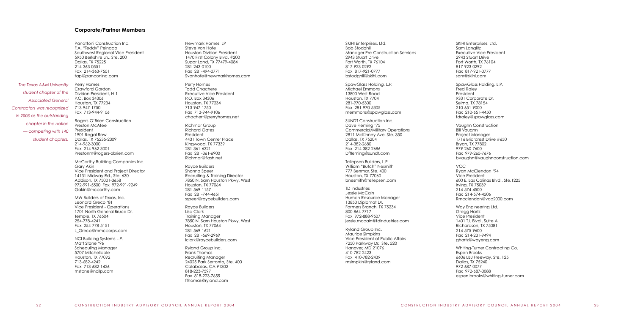Panattoni Construction Inc. F.A. "Teddy" Peinado

Southwest Regional Vice President 5950 Berkshire Ln., Ste. 200

Dallas, TX 75225

tap@panconinc.com Perry Homes Crawford Gordon Division President, H-1 P.O. Box 34306 Houston, TX 77234 713-947-1750 Fax 713-944-9106

Rogers-O'Brien Construction Preston McAfee President 1901 Regal Row Dallas, TX 75235-2309 214-962-3000 Fax 214-962-3001 Prestonm@rogers-obrien.com

McCarthy Building Companies Inc. Gary Akin Vice President and Project Director 14131 Midway Rd., Ste. 630 Addison, TX 75001-3658 972-991-5500 Fax 972-991-9249 Gakin@mccarthy.com

MW Builders of Texas, Inc. Leonard Greco '81 Vice President - Operations 1701 North General Bruce Dr. Temple, TX 76504 254-778-4241 Fax 254-778-5151 L\_Greco@mmccorps.com

NCI Building Systems L.P. Matt Stone '96 Scheduling Manager 5707 Mitchelldale Houston, TX 77092 713-682-4242 Fax 713-682-1426 mstone@ncilp.com

Newmark Homes, LP Steve Von Hofe Houston Division President 1470 First Colony Blvd. #200 Sugar Land, TX 77479-4084 281-243-0100 Fax 281-494-0771 Svonhofe@newmarkhomes.com

Perry Homes Todd Chachere Executive Vice President P.O. Box 34306 Houston, TX 77234 713-947-1750 Fax 713-944-9106 chachert@perryhomes.net

Richmar Group Richard Oates President 4431 Town Center Place Kingwood, TX 77339 281-361-6321 Fax 281-361-6900 Richmar@flash.net

Royce Builders Shonna Speer Recruiting & Training Director 7850 N. Sam Houston Pkwy. West Houston, TX 77064 281-569-1157 Fax 281-744-4651 sspeer@roycebuilders.com

Royce Builders Lisa Clark Training Manager 7850 N. Sam Houston Pkwy. West Houston, TX 77064 281-569-1621 Fax 281-569-2969 lclark@roycebuilders.com

Ryland Group Inc. Frank Thomas Recruiting Manager 24025 Park Serronto, Ste. 400 Calabasas, CA 91302 818-223-7597 Fax 818-223-7655 fthomas@ryland.com

214-363-0551 Fax 214-363-7501 *The Texas A&M University student chapter of the Associated General Contractors was recognized in 2003 as the outstanding chapter in the nation — competing with 140 student chapters.*

| SKIHI Enterprises, Ltd.<br>Bob Stodghill<br><b>Manager Pre-Construction Services</b><br>2943 Stuart Drive<br>Fort Worth, TX 76104<br>817-923-0292<br>Fax 817-921-0777<br>bstodghill@skihi.com      | <b>SKIHI</b><br>Sam I<br>Exec<br>2943<br>Fort V<br>817-9<br>$F$ ax $\epsilon$<br>sam@   |
|----------------------------------------------------------------------------------------------------------------------------------------------------------------------------------------------------|-----------------------------------------------------------------------------------------|
| SpawGlass Holding, L.P.<br>Michael Emmons<br>13800 West Road<br>Houston, TX 77041<br>281-970-5300<br>Fax 281-970-5305<br>memmons@spawglass.com                                                     | Spaw<br>Fred<br>Presic<br>9331<br>Selmo<br>210-6<br>Fax 2<br>fdrale                     |
| SUNDT Construction Inc.<br>Dave Fleming '75<br><b>Commercial/Military Operations</b><br>2811 McKinney Ave. Ste. 350<br>Dallas, TX 75204<br>214-382-2680<br>Fax 214-382-2686<br>Dffleming@sundt.com | Vaug<br><b>Bill Vc</b><br>Proje <sub>®</sub><br>1716<br>Bryar<br>979-2<br>Fax 9<br>bvau |
| Tellepsen Builders, L.P.<br>William "Butch" Nesmith<br>777 Benmar, Ste, 400<br>Houston, TX 77060<br>bnesmith@tellepsen.com                                                                         | <b>VCC</b><br>Ryan<br>Vice<br>600 E                                                     |
| <b>TD Industries</b><br>Jessie McCain<br>Human Resource Manager<br>13850 Diplomat Dr.                                                                                                              | Irving<br>$214 - 5$<br>Fax 2<br>Rmco                                                    |
| Farmers Branch, TX 75234<br>800-864-7717<br>Fax 972-888-9507<br>jessie.mccain@tdindustries.com                                                                                                     | Way  <br>Greg<br>Vice<br>1401                                                           |
| Ryland Group Inc.<br>Maurice Simpkins<br>Vice President of Public Affairs<br>7250 Parkway Dr., Ste. 520                                                                                            | Richc<br>$214 - 5$<br>Fax 2<br>ghart                                                    |
| Hanover, MD 21076<br>410-782-2423<br>Fax 410-782-2439<br>msimpkin@ryland.com                                                                                                                       | Whitir<br>Esper<br>6606<br>Dalla<br>972-6<br>Fax 9<br>esper                             |
|                                                                                                                                                                                                    |                                                                                         |

Enterprises, Ltd. Langlitz Utive Vice President Stuart Drive Worth, TX 76104 817-923-0292 Fax 817-921-0777 @skihi.com vGlass Holding, L.P. Raley dent Corporate Dr. na, TX 78154 51-9000 210-651-4450 ev@spawglass.com ahn Construction aughn ect Manager Briarcrest Drive #650 n, TX 77802 979-260-7600 979-260-7676 vghn@vaughnconstruction.com **McClendon '94** President E. Las Calinas Blvd., Ste.1225 a, TX 75039 214-574-4500 214-574-4506 clendon@vcc2000.com Engineering Ltd. ag Hartz President T.I. Blvd., Suite A Richardson, TX 75081 575-9600 Fax 214-231-9494 tz@wayeng.com ing-Turner Contracting Co. n Brooks LBJ Freeway, Ste. 125 Dallas, TX 75240 972-687-0077 972-687-0088 en.brooks@whiting-turner.com

#### **Corporate/Partner Members**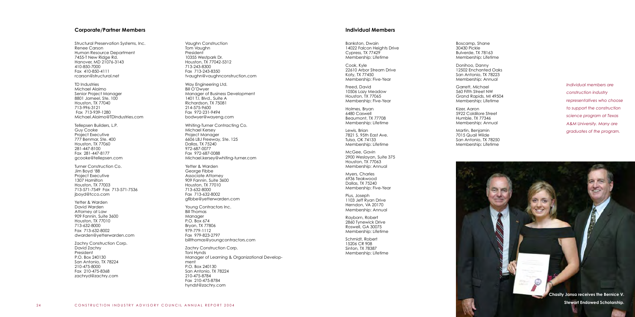Structural Preservation Systems, Inc. Renee Carson Human Resource Department 7455-T New Ridge Rd. Hanover, MD 21076-3143 410-850-7000 Fax 410-850-4111 rcarson@structural.net TD Industries Michael Alaimo Senior Project Manager 8801 Jameel, Ste. 100 Houston, TX 77040 713-996-3121 Fax 713-939-1280 Michael.Alaimo@TDIndustries.com Tellepsen Builders, L.P. Guy Cooke Project Executive 777 Benmar, Ste. 400 Houston, TX 77060 281-447-8100 Fax 281-447-8177 gcooke@tellepsen.com Turner Construction Co. Jim Boyd '88 Project Executive 1307 Hamilton Houston, TX 77003 713-571-7549 Fax 713-571-7536 jboyd@tcco.com Yetter & Warden David Warden Attorney at Law 909 Fannin, Suite 3600 Houston, TX 77010 713-632-8000 Fax 713-632-8002 dwarden@yetterwarden.com Zachry Construction Corp. David Zachry President P.O. Box 240130 San Antonio, TX 78224 210-475-8000 Fax 210-475-8368

zachryd@zachry.com

Vaughn Construction Tom Vaughn President 10355 Westpark Dr. Houston, TX 77042-5312 713-243-8300 Fax 713-243-8350 tvaughn@vaughnconstruction.com Way Engineering Ltd. Bill O'Dwyer Manager of Business Development 1401 T.I. Blvd., Suite A Richardson, TX 75081 214-575-9600 Fax 972-231-9494 bodwyer@wayeng.com Whiting-Turner Contracting Co. Michael Kersey Project Manager 6606 LBJ Freeway, Ste. 125 Dallas, TX 75240 972-687-0077 Fax 972-687-0088 Michael.kersey@whiting-turner.com Yetter & Warden George Fibbe Associate Attorney 909 Fannin, Suite 3600 Houston, TX 77010 713-632-8000 Fax 713-632-8002 gfibbe@yetterwarden.com Young Contractors Inc. Bill Thomas Manager P.O. Box 674 Bryan, TX 77806 979-779-1112 Fax 979-823-2797 billthomas@youngcontractors.com Zachry Construction Corp. Toni Hynds Manager of Learning & Organizational Develop ment P.O. Box 240130 San Antonio, TX 78224 210-475-8784

Fax 210-475-8784 hyndst@zachry.com

Bankston, Dwain 14022 Falcon Heights Drive Cypress, TX 77429 Membership: Lifetime

Cook, Kyle 22610 Arbor Stream Drive Katy, TX 77450 Membership: Five-Year

Freed, David 10506 Lazy Meadow Houston, TX 77065 Membership: Five-Year

Holmes, Bryan 6480 Caswell Beaumont, TX 77708 Membership: Lifetime

Lewis, Brian 7821 S. 95th East Ave. Tulsa, OK 74133 Membership: Lifetime

McGee, Gavin 2900 Weslayan, Suite 375 Houston, TX 77063 Membership: Annual

Myers, Charles 6936 Teakwood Dallas, TX 75240 Membership: Five-Year

Pius, Joseph 1103 Jeff Ryan Drive Herndon, VA 20170 Membership: Annual

Rayborn, Robert 2860 Tynewick Drive Roswell, GA 30075 Membership: Lifetime

Schmidt, Robert 15206 CR 908 Sinton, TX 78387 Membership: Lifetime

Boscamp, Shane 30430 Pickle Bulverde, TX 78163 Membership: Lifetime

Donihoo, Danny 12502 Enchanted Oaks San Antonio, TX 78223 Membership: Annual

Garrett, Michael 560 Fifth Street NW Grand Rapids, MI 49504 Membership: Lifetime



Kizer, Aaron 5922 Caldilore Street Humble, TX 77346 Membership: Annual

Martin, Benjamin 7015 Quail Wilde San Antonio, TX 78250 Membership: Lifetime

**Chasity Jansa receives the Bernice V.** 

#### **Corporate/Partner Members Individual Members**

*Individual members are construction industry representatives who choose to support the construction science program at Texas A&M University. Many are graduates of the program.*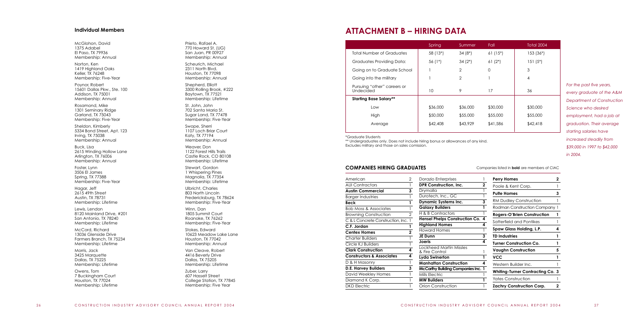McGlohon, David 1375 Adabel El Paso, TX 79936 Membership: Annual Norton, Ken 1419 Highland Oaks Keller, TX 76248 Membership: Five-Year Poynor, Robert 15601 Dallas Pkw., Ste. 100 Addison, TX 75001 Membership: Annual Rosamond, Mike 1301 Seminary Ridge Garland, TX 75043 Membership: Five-Year Sheldon, Kimberly 5334 Bond Street, Apt. 123 Irving, TX 75038 Membership: Annual Buck, Lisa 2615 Winding Hollow Lane Arlington, TX 76006 Membership: Annual Foster, Lynn 3506 El James Spring, TX 77388 Membership: Five-Year Hagar, Jeff 2615 49th Street Austin, TX 78731 Membership: Lifetime Lewis, Lendon 8120 Mainland Drive, #201 San Antonio, TX 78240 Membership: Lifetime McCord, Richard 13036 Glenside Drive Farmers Branch, TX 75234 Membership: Lifetime Morris, Jack 3425 Marquette Dallas, TX 75225 Membership: Lifetime

Owens, Tom 7 Buckingham Court Houston, TX 77024 Membership: Lifetime Prieto, Rafael A. 770 Howard St. (UG) San Juan, PR 00 $927<sup>2</sup>$ Membership: Annual

Scheurich, Michael 2311 North Blvd. Houston, TX 77098 Membership: Annual

Shepherd, Elliott 3300 Rolling Brook, #222 Baytown, TX 77521 Membership: Lifetime

St. John, John 702 Santa Maria St. Sugar Land, TX 77478 Membership: Five-Year

Swope, Sherri 1107 Loch Briar Court Katy, TX 77194 Membership: Annual

\*\* Undergraduates only. Does not include hiring bonus or allowances of any kind. Excludes military and those on sales comission.

Weaver, Don 1122 Forest Hills Trails Castle Rock, CO 80108 Membership: Lifetime

Stewart, Gordon 1 Whispering Pines Magnolia, TX 77354 Membership: Lifetime

Ulbricht, Charles 803 North Lincoln Fredericksburg, TX 78624 Membership: Five-Year

Winn, Dan 1805 Summit Court Roanoke, TX 76262 Membership: Five-Year

Stokes, Edward 10623 Meadow Lake Lane Houston, TX 77042 Membership: Annual

Van Cleave, Robert 4416 Beverly Drive Dallas, TX 75205 Membership: Lifetime

Zuber, Larry 607 Hasselt Street College Station, TX 77845 Membership: Five Year

# **ATTACHMENT B – HIRING DATA**

|                                          | Spring     | Summer         | Fall      | <b>Total 2004</b> |
|------------------------------------------|------------|----------------|-----------|-------------------|
| Total Number of Graduates                | 58 (13*)   | $34(8^*)$      | $61(15*)$ | $153(36*)$        |
| Graduates Providing Data:                | 56 $(1^*)$ | $34(2^*)$      | $61(2^*)$ | $151(5*)$         |
| Going on to Graduate School              |            | $\mathcal{P}$  | $\Omega$  | 3                 |
| Going into the military                  |            | $\overline{2}$ |           | $\overline{4}$    |
| Pursuing "other" careers or<br>Undecided | 10         | 9              | 17        | 36                |
| <b>Starting Base Salary**</b>            |            |                |           |                   |
| Low                                      | \$36,000   | \$36,000       | \$30,000  | \$30,000          |
| High                                     | \$50,000   | \$55,000       | \$55,000  | \$55,000          |
| Average                                  | \$42,408   | \$43,929       | \$41,586  | \$42,418          |

#### **COMPANIES HIRING GRADUATES**

#### \*Graduate Students

Companies listed in **bold** are members of CIAC

#### **Individual Members**

| American                             | 2             | Dorazio Enterprises                              |   | <b>Perry Homes</b>                      |   |
|--------------------------------------|---------------|--------------------------------------------------|---|-----------------------------------------|---|
| <b>AUI Contractors</b>               |               | <b>DPR Construction, Inc.</b>                    | 2 | Poole & Kent Corp.                      |   |
| <b>Austin Commercial</b>             | 3             | Drymalla                                         |   | <b>Pulte Homes</b>                      |   |
| <b>Barger Industries</b>             |               | Durotech, Inc., GC                               |   |                                         |   |
| Beck                                 |               | <b>Dynamic Systems Inc.</b>                      | 3 | <b>RM Dudley Construction</b>           |   |
| <b>Bob Moss &amp; Associates</b>     |               | <b>Galaxy Builders</b>                           |   | Rodman Construction Company 1           |   |
| <b>Browning Construction</b>         | $\mathcal{D}$ | H & B Contractors                                |   | <b>Rogers-O'Brien Construction</b>      |   |
| C & L Concrete Construction, Inc. 1  |               | Hensel Phelps Construction Co. 4                 |   | Satterfield and Pontikes                |   |
| C.F. Jordan                          |               | <b>Highland Homes</b>                            |   |                                         |   |
| <b>Centex Homes</b>                  | 2             | <b>Howard Homes</b>                              |   | Spaw Glass Holding, L.P.                | 4 |
|                                      |               | JE Dunn                                          | 3 | <b>TD Industries</b>                    |   |
| <b>Charter Builders</b>              |               | Joeris                                           | 4 |                                         |   |
| Circle KJ Builders                   |               |                                                  |   | <b>Turner Construction Co.</b>          |   |
| <b>Clark Construction</b>            |               | <b>Lockheed Martin Missles</b><br>& Fire Control |   | <b>Vaughn Construction</b>              | 5 |
| <b>Constructors &amp; Associates</b> | 4             | Lyda Swinerton                                   |   | <b>VCC</b>                              |   |
| D & H Masonry                        |               | <b>Manhattan Construction</b>                    | 4 | Western Builder Inc.                    |   |
| <b>D.E. Harvey Builders</b>          | 3             | <b>McCarthy Building Companies Inc. 1</b>        |   |                                         |   |
| David Weekley Homes                  |               | Mills Electric                                   |   | <b>Whiting-Turner Contracting Co. 3</b> |   |
| Diamond K Corp.                      |               | <b>MW Builders</b>                               |   | <b>Yates Construction</b>               |   |
| <b>DKD</b> Electric                  |               | Orion Construction                               |   | <b>Zachry Construction Corp.</b>        |   |

*For the past five years, every graduate of the A&M Department of Construction Science who desired employment, had a job at graduation. Their average starting salaries have increased steadily from \$39,000 in 1997 to \$42,000 in 2004.*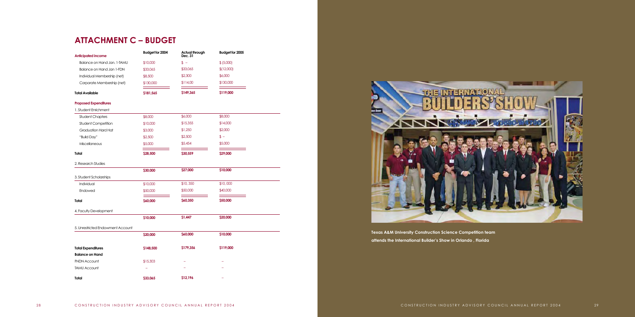

**Texas A&M University Construction Science Competition team attends the International Builder's Show in Orlando , Florida**

| <b>Anticipated income</b>         | Budget for 2004 | Actual through<br>Dec. 31 | Budget for 2005 |  |
|-----------------------------------|-----------------|---------------------------|-----------------|--|
| Balance on Hand Jan. 1-TAMU       | \$10,000        | $s -$                     | \$ (5,000)      |  |
| Balance on Hand Jan 1-FDN         | \$33,065        | \$33,065                  | \$(12,000)      |  |
| Individual Membership (net)       | \$8,500         | \$2,300                   | \$6,000         |  |
| Corporate Membership (net)        | \$130,000       | \$114,00                  | \$130,000       |  |
| <b>Total Available</b>            | \$181,565       | \$149,365                 | \$119,000       |  |
| <b>Proposed Expenditures</b>      |                 |                           |                 |  |
| 1. Student Enrichment             |                 |                           |                 |  |
| <b>Student Chapters</b>           | \$8,000         | \$6,000                   | \$8,000         |  |
| Student Competition               | \$10,000        | \$15,355                  | \$14,000        |  |
| <b>Graduation Hard Hat</b>        | \$3,000         | \$1,250                   | \$2,000         |  |
| "Build Day"                       | \$2,500         | \$2,500                   | \$ –            |  |
| Miscellaneous                     | \$5,000         | \$5,454                   | \$5,000         |  |
| <b>Total</b>                      | \$28,500        | \$30,559                  | \$29,000        |  |
| 2. Research Studies               |                 |                           |                 |  |
|                                   | \$30,000        | \$27,000                  | \$10,000        |  |
| 3. Student Scholarships           |                 |                           |                 |  |
| Individual                        | \$10,000        | \$10,350                  | \$10,000        |  |
| Endowed                           | \$50,000        | \$50,000                  | \$40,000        |  |
| Total                             | \$60,000        | \$60,350                  | \$50,000        |  |
| 4. Faculty Development            |                 |                           |                 |  |
|                                   | \$10,000        | \$1,447                   | \$20,000        |  |
| 5. Unrestricted Endowment Account |                 |                           |                 |  |
|                                   | \$20,000        | \$60,000                  | \$10,000        |  |
| <b>Total Expenditures</b>         | \$148,500       | \$179,356                 | \$119,000       |  |
| <b>Balance on Hand</b>            |                 |                           |                 |  |
| <b>FNDN Account</b>               | \$15,303        |                           |                 |  |
| <b>TAMU Account</b>               |                 |                           |                 |  |
| Total                             | \$33,065        | \$12,196                  |                 |  |

# **ATTACHMENT C – BUDGET**